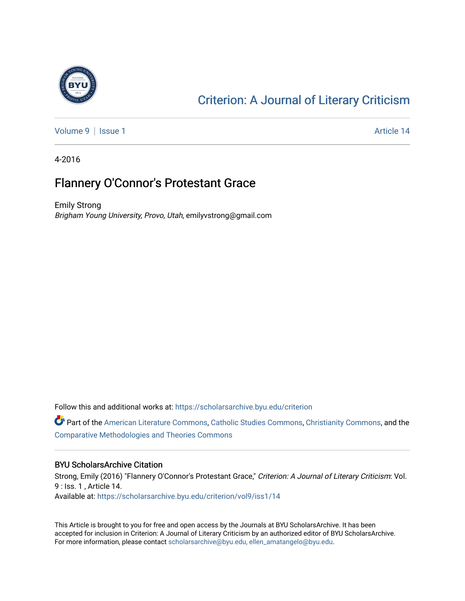

## [Criterion: A Journal of Literary Criticism](https://scholarsarchive.byu.edu/criterion)

[Volume 9](https://scholarsarchive.byu.edu/criterion/vol9) | [Issue 1](https://scholarsarchive.byu.edu/criterion/vol9/iss1) Article 14

4-2016

### Flannery O'Connor's Protestant Grace

Emily Strong Brigham Young University, Provo, Utah, emilyvstrong@gmail.com

Follow this and additional works at: [https://scholarsarchive.byu.edu/criterion](https://scholarsarchive.byu.edu/criterion?utm_source=scholarsarchive.byu.edu%2Fcriterion%2Fvol9%2Fiss1%2F14&utm_medium=PDF&utm_campaign=PDFCoverPages) 

Part of the [American Literature Commons](http://network.bepress.com/hgg/discipline/441?utm_source=scholarsarchive.byu.edu%2Fcriterion%2Fvol9%2Fiss1%2F14&utm_medium=PDF&utm_campaign=PDFCoverPages), [Catholic Studies Commons,](http://network.bepress.com/hgg/discipline/1294?utm_source=scholarsarchive.byu.edu%2Fcriterion%2Fvol9%2Fiss1%2F14&utm_medium=PDF&utm_campaign=PDFCoverPages) [Christianity Commons,](http://network.bepress.com/hgg/discipline/1181?utm_source=scholarsarchive.byu.edu%2Fcriterion%2Fvol9%2Fiss1%2F14&utm_medium=PDF&utm_campaign=PDFCoverPages) and the [Comparative Methodologies and Theories Commons](http://network.bepress.com/hgg/discipline/540?utm_source=scholarsarchive.byu.edu%2Fcriterion%2Fvol9%2Fiss1%2F14&utm_medium=PDF&utm_campaign=PDFCoverPages)

### BYU ScholarsArchive Citation

Strong, Emily (2016) "Flannery O'Connor's Protestant Grace," Criterion: A Journal of Literary Criticism: Vol. 9 : Iss. 1 , Article 14. Available at: [https://scholarsarchive.byu.edu/criterion/vol9/iss1/14](https://scholarsarchive.byu.edu/criterion/vol9/iss1/14?utm_source=scholarsarchive.byu.edu%2Fcriterion%2Fvol9%2Fiss1%2F14&utm_medium=PDF&utm_campaign=PDFCoverPages)

This Article is brought to you for free and open access by the Journals at BYU ScholarsArchive. It has been accepted for inclusion in Criterion: A Journal of Literary Criticism by an authorized editor of BYU ScholarsArchive. For more information, please contact [scholarsarchive@byu.edu, ellen\\_amatangelo@byu.edu](mailto:scholarsarchive@byu.edu,%20ellen_amatangelo@byu.edu).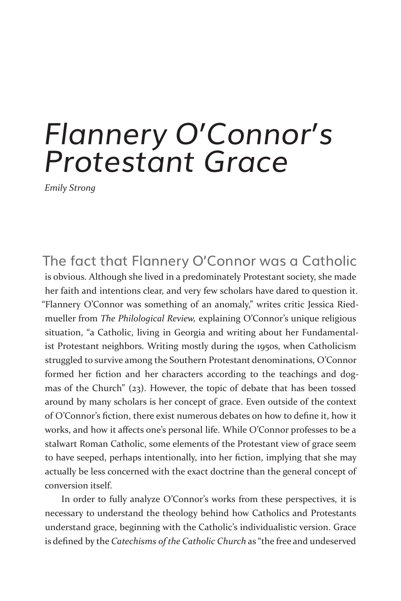# *Flannery O'Connor's Protestant Grace*

*Emily Strong*

The fact that Flannery O'Connor was a Catholic is obvious. Although she lived in a predominately Protestant society, she made her faith and intentions clear, and very few scholars have dared to question it. "Flannery O'Connor was something of an anomaly," writes critic Jessica Riedmueller from *The Philological Review,* explaining O'Connor's unique religious situation, "a Catholic, living in Georgia and writing about her Fundamentalist Protestant neighbors. Writing mostly during the 1950s, when Catholicism struggled to survive among the Southern Protestant denominations, O'Connor formed her fiction and her characters according to the teachings and dogmas of the Church" (23). However, the topic of debate that has been tossed around by many scholars is her concept of grace. Even outside of the context of O'Connor's fiction, there exist numerous debates on how to define it, how it works, and how it affects one's personal life. While O'Connor professes to be a stalwart Roman Catholic, some elements of the Protestant view of grace seem to have seeped, perhaps intentionally, into her fiction, implying that she may actually be less concerned with the exact doctrine than the general concept of conversion itself.

In order to fully analyze O'Connor's works from these perspectives, it is necessary to understand the theology behind how Catholics and Protestants understand grace, beginning with the Catholic's individualistic version. Grace is defined by the *Catechisms of the Catholic Church* as "the free and undeserved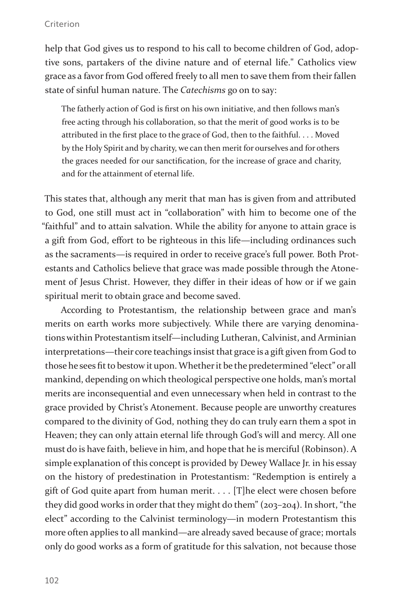### Criterion

help that God gives us to respond to his call to become children of God, adoptive sons, partakers of the divine nature and of eternal life." Catholics view grace as a favor from God offered freely to all men to save them from their fallen state of sinful human nature. The *Catechisms* go on to say:

The fatherly action of God is first on his own initiative, and then follows man's free acting through his collaboration, so that the merit of good works is to be attributed in the first place to the grace of God, then to the faithful. . . . Moved by the Holy Spirit and by charity, we can then merit for ourselves and for others the graces needed for our sanctification, for the increase of grace and charity, and for the attainment of eternal life.

This states that, although any merit that man has is given from and attributed to God, one still must act in "collaboration" with him to become one of the "faithful" and to attain salvation. While the ability for anyone to attain grace is a gift from God, effort to be righteous in this life—including ordinances such as the sacraments—is required in order to receive grace's full power. Both Protestants and Catholics believe that grace was made possible through the Atonement of Jesus Christ. However, they differ in their ideas of how or if we gain spiritual merit to obtain grace and become saved.

According to Protestantism, the relationship between grace and man's merits on earth works more subjectively. While there are varying denominations within Protestantism itself—including Lutheran, Calvinist, and Arminian interpretations—their core teachings insist that grace is a gift given from God to those he sees fit to bestow it upon. Whether it be the predetermined "elect" or all mankind, depending on which theological perspective one holds, man's mortal merits are inconsequential and even unnecessary when held in contrast to the grace provided by Christ's Atonement. Because people are unworthy creatures compared to the divinity of God, nothing they do can truly earn them a spot in Heaven; they can only attain eternal life through God's will and mercy. All one must do is have faith, believe in him, and hope that he is merciful (Robinson). A simple explanation of this concept is provided by Dewey Wallace Jr. in his essay on the history of predestination in Protestantism: "Redemption is entirely a gift of God quite apart from human merit. . . . [T]he elect were chosen before they did good works in order that they might do them" (203-204). In short, "the elect" according to the Calvinist terminology—in modern Protestantism this more often applies to all mankind—are already saved because of grace; mortals only do good works as a form of gratitude for this salvation, not because those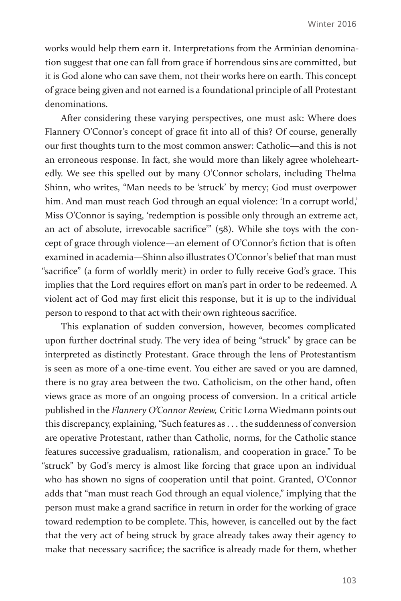works would help them earn it. Interpretations from the Arminian denomination suggest that one can fall from grace if horrendous sins are committed, but it is God alone who can save them, not their works here on earth. This concept of grace being given and not earned is a foundational principle of all Protestant denominations.

After considering these varying perspectives, one must ask: Where does Flannery O'Connor's concept of grace fit into all of this? Of course, generally our first thoughts turn to the most common answer: Catholic—and this is not an erroneous response. In fact, she would more than likely agree wholeheartedly. We see this spelled out by many O'Connor scholars, including Thelma Shinn, who writes, "Man needs to be 'struck' by mercy; God must overpower him. And man must reach God through an equal violence: 'In a corrupt world,' Miss O'Connor is saying, 'redemption is possible only through an extreme act, an act of absolute, irrevocable sacrifice'" (58). While she toys with the concept of grace through violence—an element of O'Connor's fiction that is often examined in academia—Shinn also illustrates O'Connor's belief that man must "sacrifice" (a form of worldly merit) in order to fully receive God's grace. This implies that the Lord requires effort on man's part in order to be redeemed. A violent act of God may first elicit this response, but it is up to the individual person to respond to that act with their own righteous sacrifice.

This explanation of sudden conversion, however, becomes complicated upon further doctrinal study. The very idea of being "struck" by grace can be interpreted as distinctly Protestant. Grace through the lens of Protestantism is seen as more of a one-time event. You either are saved or you are damned, there is no gray area between the two. Catholicism, on the other hand, often views grace as more of an ongoing process of conversion. In a critical article published in the *Flannery O'Connor Review,* Critic Lorna Wiedmann points out this discrepancy, explaining, "Such features as . . . the suddenness of conversion are operative Protestant, rather than Catholic, norms, for the Catholic stance features successive gradualism, rationalism, and cooperation in grace." To be "struck" by God's mercy is almost like forcing that grace upon an individual who has shown no signs of cooperation until that point. Granted, O'Connor adds that "man must reach God through an equal violence," implying that the person must make a grand sacrifice in return in order for the working of grace toward redemption to be complete. This, however, is cancelled out by the fact that the very act of being struck by grace already takes away their agency to make that necessary sacrifice; the sacrifice is already made for them, whether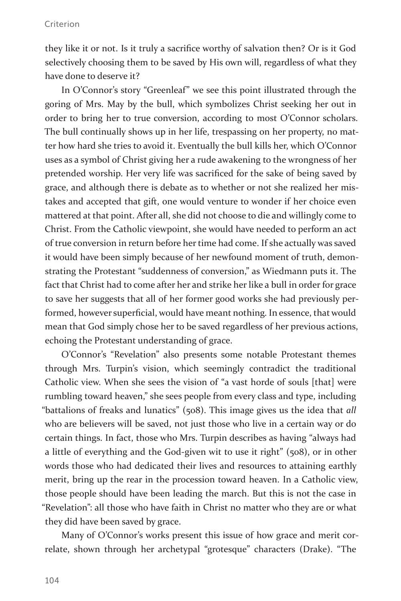they like it or not. Is it truly a sacrifice worthy of salvation then? Or is it God selectively choosing them to be saved by His own will, regardless of what they have done to deserve it?

In O'Connor's story "Greenleaf" we see this point illustrated through the goring of Mrs. May by the bull, which symbolizes Christ seeking her out in order to bring her to true conversion, according to most O'Connor scholars. The bull continually shows up in her life, trespassing on her property, no matter how hard she tries to avoid it. Eventually the bull kills her, which O'Connor uses as a symbol of Christ giving her a rude awakening to the wrongness of her pretended worship. Her very life was sacrificed for the sake of being saved by grace, and although there is debate as to whether or not she realized her mistakes and accepted that gift, one would venture to wonder if her choice even mattered at that point. After all, she did not choose to die and willingly come to Christ. From the Catholic viewpoint, she would have needed to perform an act of true conversion in return before her time had come. If she actually was saved it would have been simply because of her newfound moment of truth, demonstrating the Protestant "suddenness of conversion," as Wiedmann puts it. The fact that Christ had to come after her and strike her like a bull in order for grace to save her suggests that all of her former good works she had previously performed, however superficial, would have meant nothing. In essence, that would mean that God simply chose her to be saved regardless of her previous actions, echoing the Protestant understanding of grace.

O'Connor's "Revelation" also presents some notable Protestant themes through Mrs. Turpin's vision, which seemingly contradict the traditional Catholic view. When she sees the vision of "a vast horde of souls [that] were rumbling toward heaven," she sees people from every class and type, including "battalions of freaks and lunatics" (508). This image gives us the idea that *all*  who are believers will be saved, not just those who live in a certain way or do certain things. In fact, those who Mrs. Turpin describes as having "always had a little of everything and the God-given wit to use it right" (508), or in other words those who had dedicated their lives and resources to attaining earthly merit, bring up the rear in the procession toward heaven. In a Catholic view, those people should have been leading the march. But this is not the case in "Revelation": all those who have faith in Christ no matter who they are or what they did have been saved by grace.

Many of O'Connor's works present this issue of how grace and merit correlate, shown through her archetypal "grotesque" characters (Drake). "The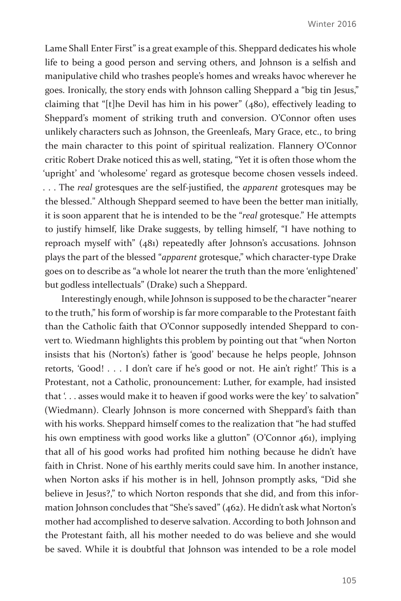Lame Shall Enter First" is a great example of this. Sheppard dedicates his whole life to being a good person and serving others, and Johnson is a selfish and manipulative child who trashes people's homes and wreaks havoc wherever he goes. Ironically, the story ends with Johnson calling Sheppard a "big tin Jesus," claiming that "[t]he Devil has him in his power" (480), effectively leading to Sheppard's moment of striking truth and conversion. O'Connor often uses unlikely characters such as Johnson, the Greenleafs, Mary Grace, etc., to bring the main character to this point of spiritual realization. Flannery O'Connor critic Robert Drake noticed this as well, stating, "Yet it is often those whom the 'upright' and 'wholesome' regard as grotesque become chosen vessels indeed. . . . The *real* grotesques are the self-justified, the *apparent* grotesques may be the blessed." Although Sheppard seemed to have been the better man initially, it is soon apparent that he is intended to be the "*real* grotesque." He attempts to justify himself, like Drake suggests, by telling himself, "I have nothing to reproach myself with" (481) repeatedly after Johnson's accusations. Johnson plays the part of the blessed "*apparent* grotesque," which character-type Drake goes on to describe as "a whole lot nearer the truth than the more 'enlightened' but godless intellectuals" (Drake) such a Sheppard.

Interestingly enough, while Johnson is supposed to be the character "nearer to the truth," his form of worship is far more comparable to the Protestant faith than the Catholic faith that O'Connor supposedly intended Sheppard to convert to. Wiedmann highlights this problem by pointing out that "when Norton insists that his (Norton's) father is 'good' because he helps people, Johnson retorts, 'Good! . . . I don't care if he's good or not. He ain't right!' This is a Protestant, not a Catholic, pronouncement: Luther, for example, had insisted that '. . . asses would make it to heaven if good works were the key' to salvation" (Wiedmann). Clearly Johnson is more concerned with Sheppard's faith than with his works. Sheppard himself comes to the realization that "he had stuffed his own emptiness with good works like a glutton" (O'Connor 461), implying that all of his good works had profited him nothing because he didn't have faith in Christ. None of his earthly merits could save him. In another instance, when Norton asks if his mother is in hell, Johnson promptly asks, "Did she believe in Jesus?," to which Norton responds that she did, and from this information Johnson concludes that "She's saved" (462). He didn't ask what Norton's mother had accomplished to deserve salvation. According to both Johnson and the Protestant faith, all his mother needed to do was believe and she would be saved. While it is doubtful that Johnson was intended to be a role model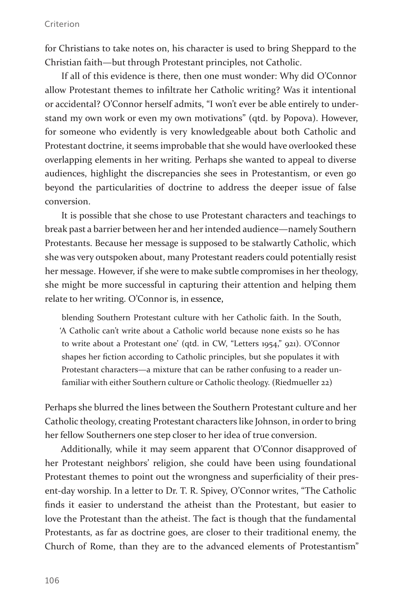#### Criterion

for Christians to take notes on, his character is used to bring Sheppard to the Christian faith—but through Protestant principles, not Catholic.

If all of this evidence is there, then one must wonder: Why did O'Connor allow Protestant themes to infiltrate her Catholic writing? Was it intentional or accidental? O'Connor herself admits, "I won't ever be able entirely to understand my own work or even my own motivations" (qtd. by Popova). However, for someone who evidently is very knowledgeable about both Catholic and Protestant doctrine, it seems improbable that she would have overlooked these overlapping elements in her writing. Perhaps she wanted to appeal to diverse audiences, highlight the discrepancies she sees in Protestantism, or even go beyond the particularities of doctrine to address the deeper issue of false conversion.

It is possible that she chose to use Protestant characters and teachings to break past a barrier between her and her intended audience—namely Southern Protestants. Because her message is supposed to be stalwartly Catholic, which she was very outspoken about, many Protestant readers could potentially resist her message. However, if she were to make subtle compromises in her theology, she might be more successful in capturing their attention and helping them relate to her writing. O'Connor is, in essence,

blending Southern Protestant culture with her Catholic faith. In the South, 'A Catholic can't write about a Catholic world because none exists so he has to write about a Protestant one' (qtd. in CW, "Letters 1954," 921). O'Connor shapes her fiction according to Catholic principles, but she populates it with Protestant characters—a mixture that can be rather confusing to a reader unfamiliar with either Southern culture or Catholic theology. (Riedmueller 22)

Perhaps she blurred the lines between the Southern Protestant culture and her Catholic theology, creating Protestant characters like Johnson, in order to bring her fellow Southerners one step closer to her idea of true conversion.

Additionally, while it may seem apparent that O'Connor disapproved of her Protestant neighbors' religion, she could have been using foundational Protestant themes to point out the wrongness and superficiality of their present-day worship. In a letter to Dr. T. R. Spivey, O'Connor writes, "The Catholic finds it easier to understand the atheist than the Protestant, but easier to love the Protestant than the atheist. The fact is though that the fundamental Protestants, as far as doctrine goes, are closer to their traditional enemy, the Church of Rome, than they are to the advanced elements of Protestantism"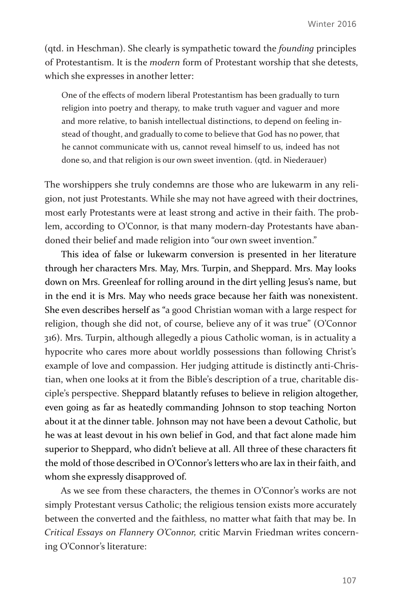(qtd. in Heschman). She clearly is sympathetic toward the *founding* principles of Protestantism. It is the *modern* form of Protestant worship that she detests, which she expresses in another letter:

One of the effects of modern liberal Protestantism has been gradually to turn religion into poetry and therapy, to make truth vaguer and vaguer and more and more relative, to banish intellectual distinctions, to depend on feeling instead of thought, and gradually to come to believe that God has no power, that he cannot communicate with us, cannot reveal himself to us, indeed has not done so, and that religion is our own sweet invention. (qtd. in Niederauer)

The worshippers she truly condemns are those who are lukewarm in any religion, not just Protestants. While she may not have agreed with their doctrines, most early Protestants were at least strong and active in their faith. The problem, according to O'Connor, is that many modern-day Protestants have abandoned their belief and made religion into "our own sweet invention."

This idea of false or lukewarm conversion is presented in her literature through her characters Mrs. May, Mrs. Turpin, and Sheppard. Mrs. May looks down on Mrs. Greenleaf for rolling around in the dirt yelling Jesus's name, but in the end it is Mrs. May who needs grace because her faith was nonexistent. She even describes herself as "a good Christian woman with a large respect for religion, though she did not, of course, believe any of it was true" (O'Connor 316). Mrs. Turpin, although allegedly a pious Catholic woman, is in actuality a hypocrite who cares more about worldly possessions than following Christ's example of love and compassion. Her judging attitude is distinctly anti-Christian, when one looks at it from the Bible's description of a true, charitable disciple's perspective. Sheppard blatantly refuses to believe in religion altogether, even going as far as heatedly commanding Johnson to stop teaching Norton about it at the dinner table. Johnson may not have been a devout Catholic, but he was at least devout in his own belief in God, and that fact alone made him superior to Sheppard, who didn't believe at all. All three of these characters fit the mold of those described in O'Connor's letters who are lax in their faith, and whom she expressly disapproved of.

As we see from these characters, the themes in O'Connor's works are not simply Protestant versus Catholic; the religious tension exists more accurately between the converted and the faithless, no matter what faith that may be. In *Critical Essays on Flannery O'Connor,* critic Marvin Friedman writes concerning O'Connor's literature: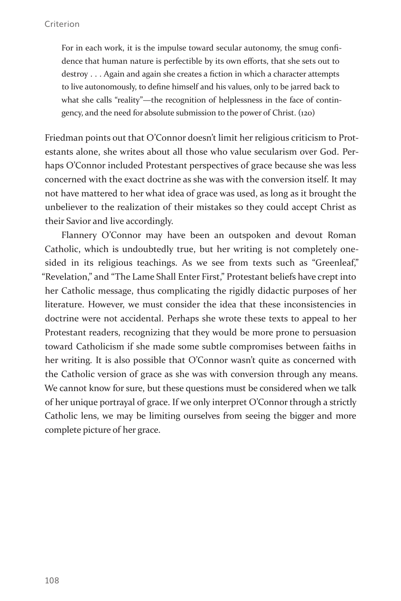For in each work, it is the impulse toward secular autonomy, the smug confidence that human nature is perfectible by its own efforts, that she sets out to destroy . . . Again and again she creates a fiction in which a character attempts to live autonomously, to define himself and his values, only to be jarred back to what she calls "reality"—the recognition of helplessness in the face of contingency, and the need for absolute submission to the power of Christ. (120)

Friedman points out that O'Connor doesn't limit her religious criticism to Protestants alone, she writes about all those who value secularism over God. Perhaps O'Connor included Protestant perspectives of grace because she was less concerned with the exact doctrine as she was with the conversion itself. It may not have mattered to her what idea of grace was used, as long as it brought the unbeliever to the realization of their mistakes so they could accept Christ as their Savior and live accordingly.

Flannery O'Connor may have been an outspoken and devout Roman Catholic, which is undoubtedly true, but her writing is not completely onesided in its religious teachings. As we see from texts such as "Greenleaf," "Revelation," and "The Lame Shall Enter First," Protestant beliefs have crept into her Catholic message, thus complicating the rigidly didactic purposes of her literature. However, we must consider the idea that these inconsistencies in doctrine were not accidental. Perhaps she wrote these texts to appeal to her Protestant readers, recognizing that they would be more prone to persuasion toward Catholicism if she made some subtle compromises between faiths in her writing. It is also possible that O'Connor wasn't quite as concerned with the Catholic version of grace as she was with conversion through any means. We cannot know for sure, but these questions must be considered when we talk of her unique portrayal of grace. If we only interpret O'Connor through a strictly Catholic lens, we may be limiting ourselves from seeing the bigger and more complete picture of her grace.